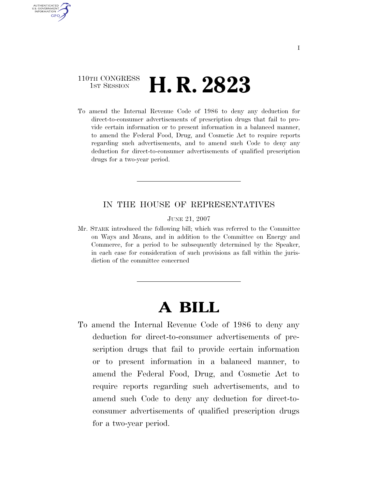## 110TH CONGRESS <sup>TH CONGRESS</sup> **H. R. 2823**

AUTHENTICATED U.S. GOVERNMENT **GPO** 

> To amend the Internal Revenue Code of 1986 to deny any deduction for direct-to-consumer advertisements of prescription drugs that fail to provide certain information or to present information in a balanced manner, to amend the Federal Food, Drug, and Cosmetic Act to require reports regarding such advertisements, and to amend such Code to deny any deduction for direct-to-consumer advertisements of qualified prescription drugs for a two-year period.

## IN THE HOUSE OF REPRESENTATIVES

JUNE 21, 2007

Mr. STARK introduced the following bill; which was referred to the Committee on Ways and Means, and in addition to the Committee on Energy and Commerce, for a period to be subsequently determined by the Speaker, in each case for consideration of such provisions as fall within the jurisdiction of the committee concerned

## **A BILL**

To amend the Internal Revenue Code of 1986 to deny any deduction for direct-to-consumer advertisements of prescription drugs that fail to provide certain information or to present information in a balanced manner, to amend the Federal Food, Drug, and Cosmetic Act to require reports regarding such advertisements, and to amend such Code to deny any deduction for direct-toconsumer advertisements of qualified prescription drugs for a two-year period.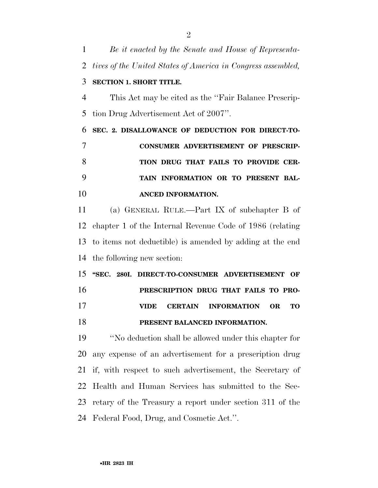*Be it enacted by the Senate and House of Representa- tives of the United States of America in Congress assembled,*  **SECTION 1. SHORT TITLE.**  This Act may be cited as the ''Fair Balance Prescrip- tion Drug Advertisement Act of 2007''. **SEC. 2. DISALLOWANCE OF DEDUCTION FOR DIRECT-TO- CONSUMER ADVERTISEMENT OF PRESCRIP- TION DRUG THAT FAILS TO PROVIDE CER- TAIN INFORMATION OR TO PRESENT BAL- ANCED INFORMATION.**  (a) GENERAL RULE.—Part IX of subchapter B of chapter 1 of the Internal Revenue Code of 1986 (relating to items not deductible) is amended by adding at the end the following new section: **''SEC. 280I. DIRECT-TO-CONSUMER ADVERTISEMENT OF PRESCRIPTION DRUG THAT FAILS TO PRO- VIDE CERTAIN INFORMATION OR TO PRESENT BALANCED INFORMATION.**  ''No deduction shall be allowed under this chapter for any expense of an advertisement for a prescription drug if, with respect to such advertisement, the Secretary of Health and Human Services has submitted to the Sec- retary of the Treasury a report under section 311 of the Federal Food, Drug, and Cosmetic Act.''.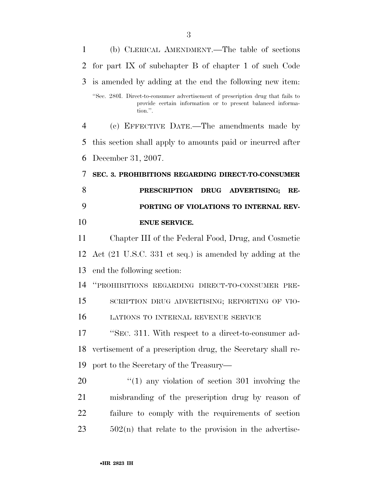| 1              | (b) CLERICAL AMENDMENT.—The table of sections                                                                                                             |
|----------------|-----------------------------------------------------------------------------------------------------------------------------------------------------------|
| 2              | for part IX of subchapter B of chapter 1 of such Code                                                                                                     |
| 3              | is amended by adding at the end the following new item.                                                                                                   |
|                | "Sec. 280I. Direct-to-consumer advertisement of prescription drug that fails to<br>provide certain information or to present balanced informa-<br>tion.". |
| $\overline{4}$ | (c) EFFECTIVE DATE.—The amendments made by                                                                                                                |
| 5              | this section shall apply to amounts paid or incurred after                                                                                                |
| 6              | December 31, 2007.                                                                                                                                        |
| 7              | SEC. 3. PROHIBITIONS REGARDING DIRECT-TO-CONSUMER                                                                                                         |
| 8              | PRESCRIPTION DRUG ADVERTISING;<br>RE-                                                                                                                     |
| 9              | PORTING OF VIOLATIONS TO INTERNAL REV-                                                                                                                    |
| 10             | <b>ENUE SERVICE.</b>                                                                                                                                      |
| 11             | Chapter III of the Federal Food, Drug, and Cosmetic                                                                                                       |
| 12             | Act $(21 \text{ U.S.C. } 331 \text{ et seq.})$ is amended by adding at the                                                                                |
| 13             | end the following section:                                                                                                                                |
| 14             |                                                                                                                                                           |
|                | "PROHIBITIONS REGARDING DIRECT-TO-CONSUMER PRE-                                                                                                           |
| 15             | SCRIPTION DRUG ADVERTISING; REPORTING OF VIO-                                                                                                             |
| 16             | LATIONS TO INTERNAL REVENUE SERVICE                                                                                                                       |
| 17             | "SEC. 311. With respect to a direct-to-consumer ad-                                                                                                       |
| 18             | vertisement of a prescription drug, the Secretary shall re-                                                                                               |
| 19             | port to the Secretary of the Treasury—                                                                                                                    |
| 20             | $\lq(1)$ any violation of section 301 involving the                                                                                                       |
| 21             | misbranding of the prescription drug by reason of                                                                                                         |
| $22\,$         | failure to comply with the requirements of section                                                                                                        |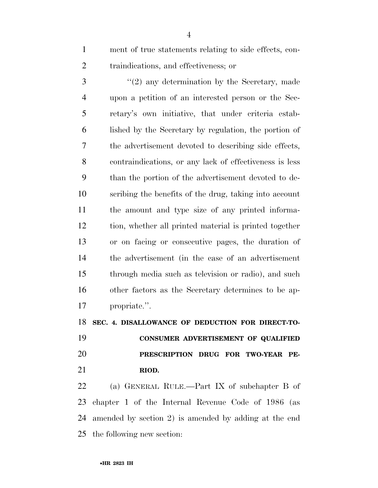ment of true statements relating to side effects, con-traindications, and effectiveness; or

3 "(2) any determination by the Secretary, made upon a petition of an interested person or the Sec- retary's own initiative, that under criteria estab- lished by the Secretary by regulation, the portion of the advertisement devoted to describing side effects, contraindications, or any lack of effectiveness is less than the portion of the advertisement devoted to de- scribing the benefits of the drug, taking into account the amount and type size of any printed informa- tion, whether all printed material is printed together or on facing or consecutive pages, the duration of the advertisement (in the case of an advertisement through media such as television or radio), and such other factors as the Secretary determines to be ap-propriate.''.

**SEC. 4. DISALLOWANCE OF DEDUCTION FOR DIRECT-TO-**

 **CONSUMER ADVERTISEMENT OF QUALIFIED PRESCRIPTION DRUG FOR TWO-YEAR PE-RIOD.** 

 (a) GENERAL RULE.—Part IX of subchapter B of chapter 1 of the Internal Revenue Code of 1986 (as amended by section 2) is amended by adding at the end the following new section: